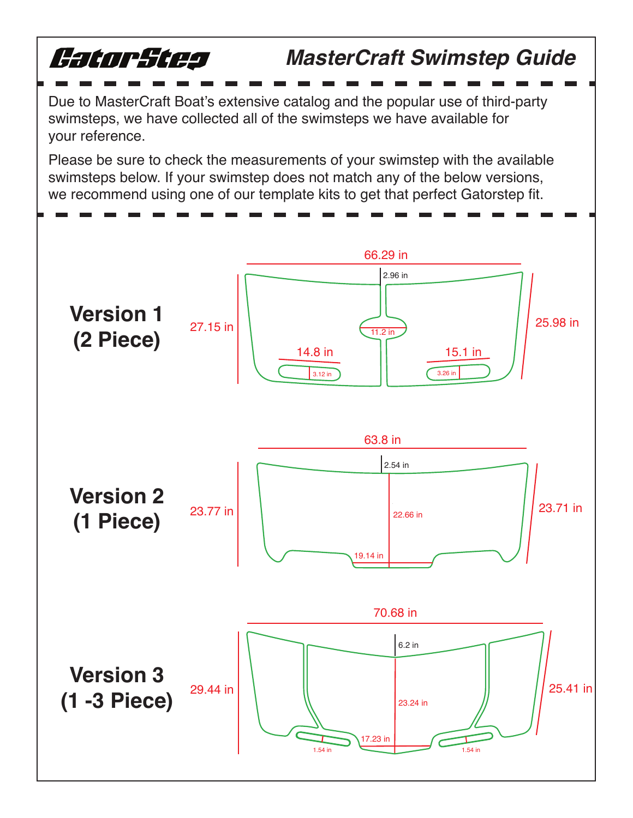

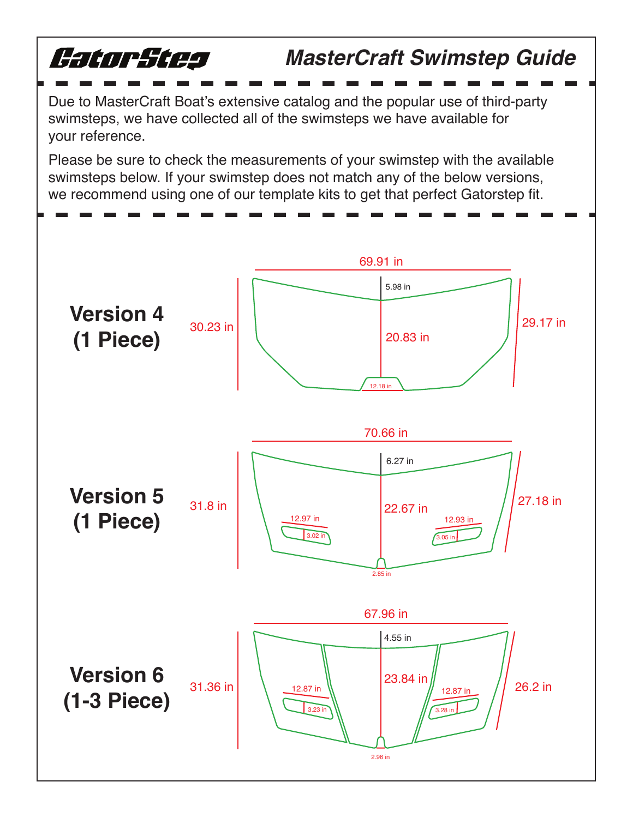

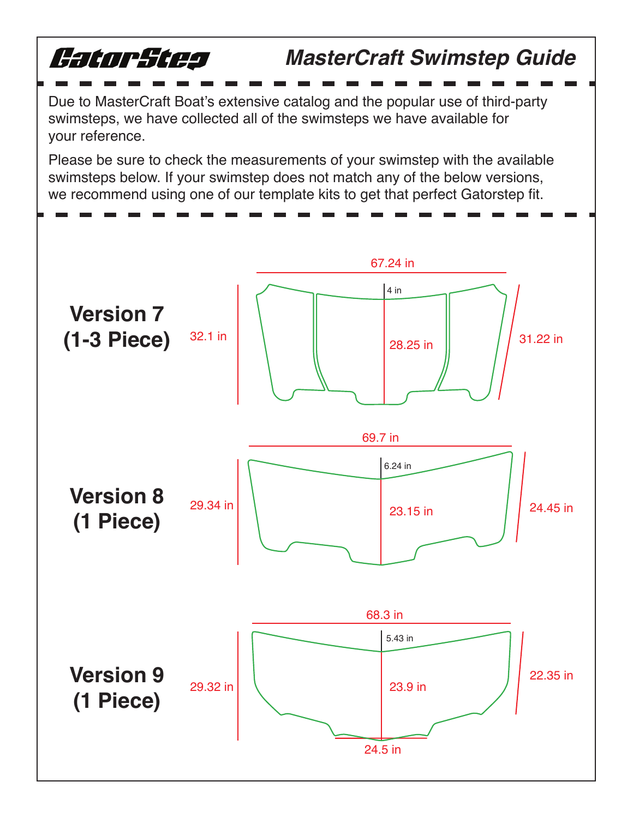

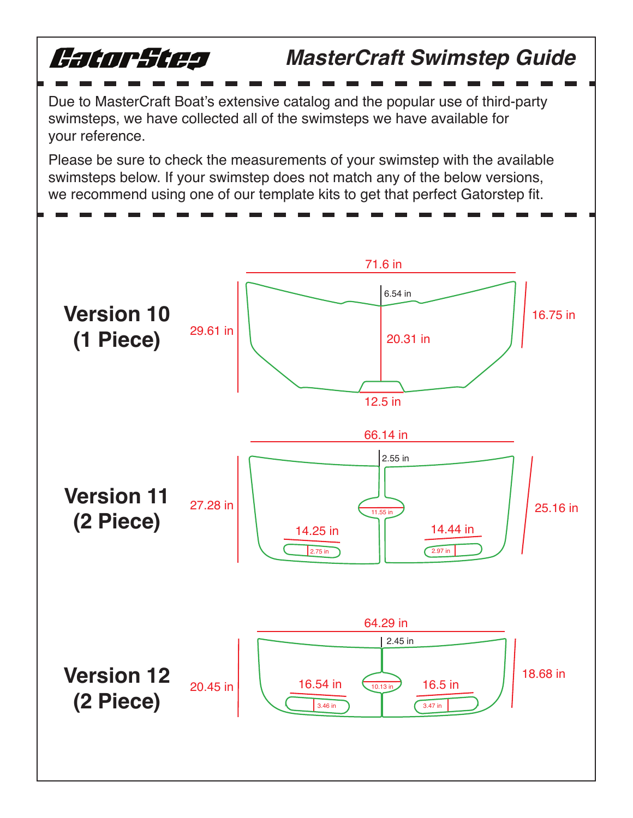

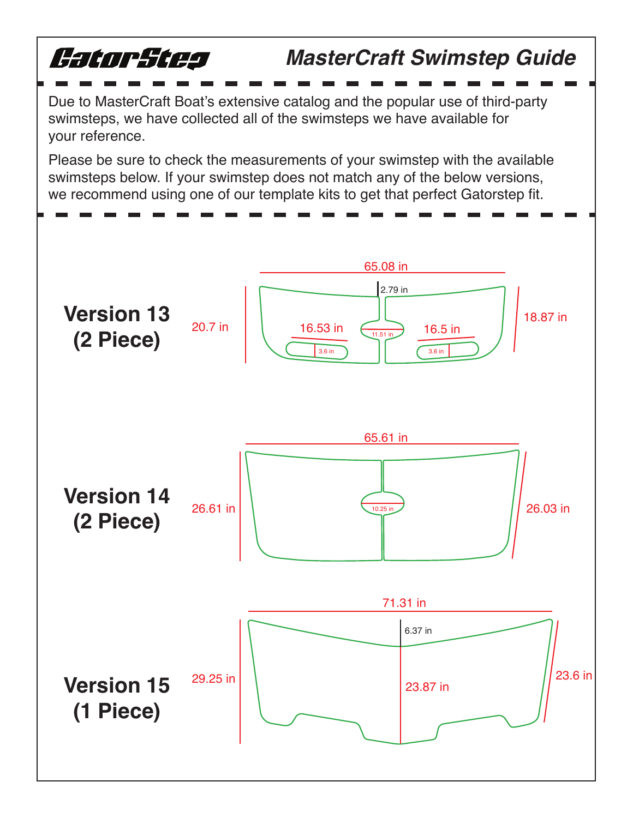

your reference.

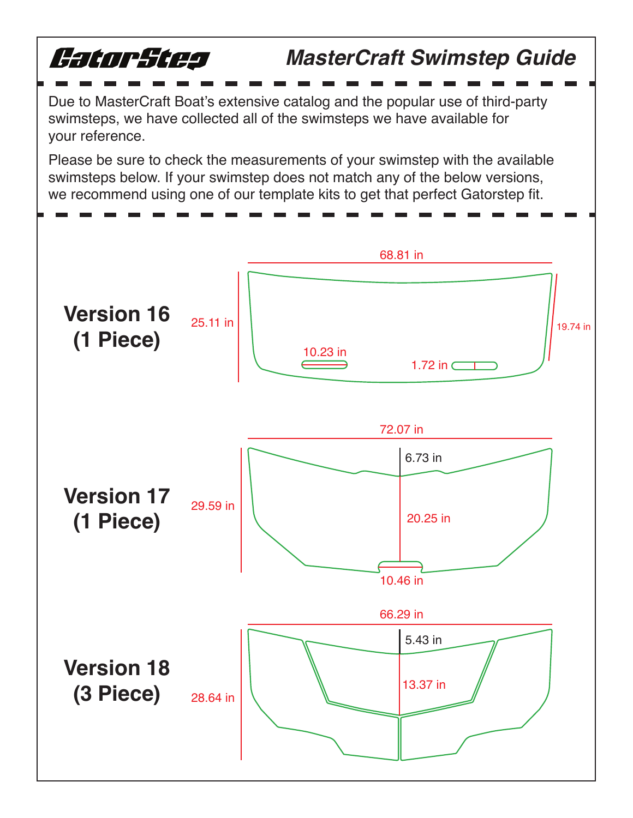

your reference.